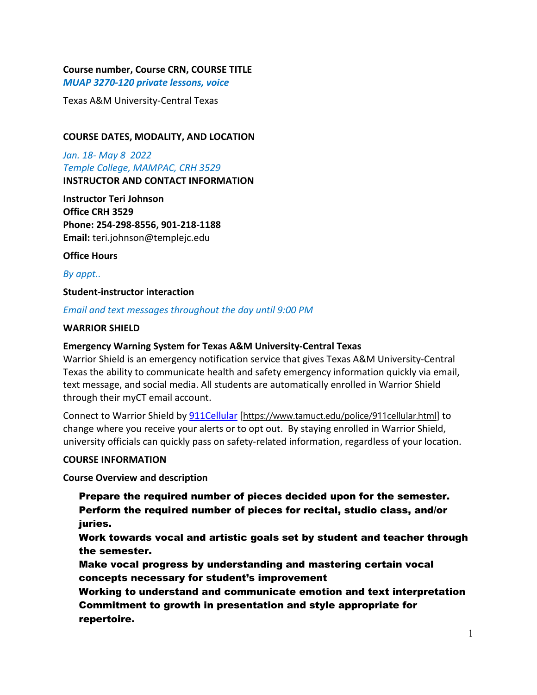## **Course number, Course CRN, COURSE TITLE**

*MUAP 3270-120 private lessons, voice*

Texas A&M University-Central Texas

### **COURSE DATES, MODALITY, AND LOCATION**

*Jan. 18- May 8 2022 Temple College, MAMPAC, CRH 3529* **INSTRUCTOR AND CONTACT INFORMATION**

**Instructor Teri Johnson Office CRH 3529 Phone: 254-298-8556, 901-218-1188 Email:** teri.johnson@templejc.edu

**Office Hours**

*By appt..*

### **Student-instructor interaction**

### *Email and text messages throughout the day until 9:00 PM*

### **WARRIOR SHIELD**

### **Emergency Warning System for Texas A&M University-Central Texas**

Warrior Shield is an emergency notification service that gives Texas A&M University-Central Texas the ability to communicate health and safety emergency information quickly via email, text message, and social media. All students are automatically enrolled in Warrior Shield through their myCT email account.

Connect to Warrior Shield b[y 911Cellular](https://www.tamuct.edu/police/911cellular.html) [<https://www.tamuct.edu/police/911cellular.html>] to change where you receive your alerts or to opt out. By staying enrolled in Warrior Shield, university officials can quickly pass on safety-related information, regardless of your location.

### **COURSE INFORMATION**

**Course Overview and description**

Prepare the required number of pieces decided upon for the semester. Perform the required number of pieces for recital, studio class, and/or juries.

Work towards vocal and artistic goals set by student and teacher through the semester.

Make vocal progress by understanding and mastering certain vocal concepts necessary for student's improvement

Working to understand and communicate emotion and text interpretation Commitment to growth in presentation and style appropriate for repertoire.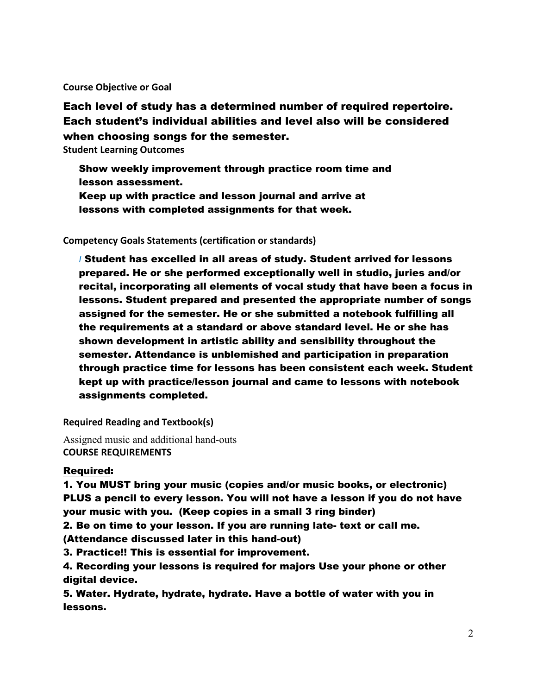**Course Objective or Goal**

Each level of study has a determined number of required repertoire. Each student's individual abilities and level also will be considered when choosing songs for the semester.

**Student Learning Outcomes**

- Show weekly improvement through practice room time and lesson assessment.
- Keep up with practice and lesson journal and arrive at lessons with completed assignments for that week.

### **Competency Goals Statements (certification or standards)**

*I* Student has excelled in all areas of study. Student arrived for lessons prepared. He or she performed exceptionally well in studio, juries and/or recital, incorporating all elements of vocal study that have been a focus in lessons. Student prepared and presented the appropriate number of songs assigned for the semester. He or she submitted a notebook fulfilling all the requirements at a standard or above standard level. He or she has shown development in artistic ability and sensibility throughout the semester. Attendance is unblemished and participation in preparation through practice time for lessons has been consistent each week. Student kept up with practice/lesson journal and came to lessons with notebook assignments completed.

**Required Reading and Textbook(s)**

Assigned music and additional hand-outs **COURSE REQUIREMENTS**

### Required:

1. You MUST bring your music (copies and/or music books, or electronic) PLUS a pencil to every lesson. You will not have a lesson if you do not have your music with you. (Keep copies in a small 3 ring binder)

2. Be on time to your lesson. If you are running late- text or call me. (Attendance discussed later in this hand-out)

3. Practice!! This is essential for improvement.

4. Recording your lessons is required for majors Use your phone or other digital device.

5. Water. Hydrate, hydrate, hydrate. Have a bottle of water with you in lessons.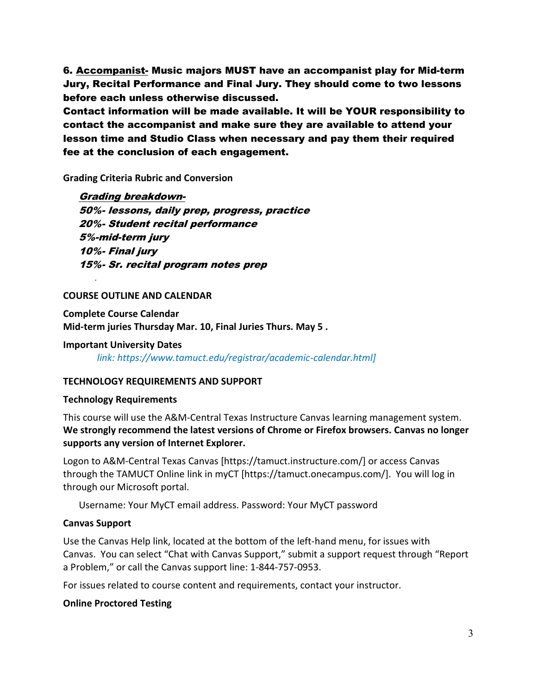6. Accompanist- Music majors MUST have an accompanist play for Mid-term Jury, Recital Performance and Final Jury. They should come to two lessons before each unless otherwise discussed.

Contact information will be made available. It will be YOUR responsibility to contact the accompanist and make sure they are available to attend your lesson time and Studio Class when necessary and pay them their required fee at the conclusion of each engagement.

**Grading Criteria Rubric and Conversion** 

Grading breakdown-50%- lessons, daily prep, progress, practice 20%- Student recital performance 5%-mid-term jury 10%- Final jury 15%- Sr. recital program notes prep

#### **COURSE OUTLINE AND CALENDAR**

*.*

**Complete Course Calendar Mid-term juries Thursday Mar. 10, Final Juries Thurs. May 5 .**

**Important University Dates** *link: https://www.tamuct.edu/registrar/academic-calendar.html]*

### **TECHNOLOGY REQUIREMENTS AND SUPPORT**

#### **Technology Requirements**

This course will use the A&M-Central Texas Instructure Canvas learning management system. **We strongly recommend the latest versions of Chrome or Firefox browsers. Canvas no longer supports any version of Internet Explorer.**

Logon to A&M-Central Texas Canvas [https://tamuct.instructure.com/] or access Canvas through the TAMUCT Online link in myCT [https://tamuct.onecampus.com/]. You will log in through our Microsoft portal.

Username: Your MyCT email address. Password: Your MyCT password

#### **Canvas Support**

Use the Canvas Help link, located at the bottom of the left-hand menu, for issues with Canvas. You can select "Chat with Canvas Support," submit a support request through "Report a Problem," or call the Canvas support line: 1-844-757-0953.

For issues related to course content and requirements, contact your instructor.

### **Online Proctored Testing**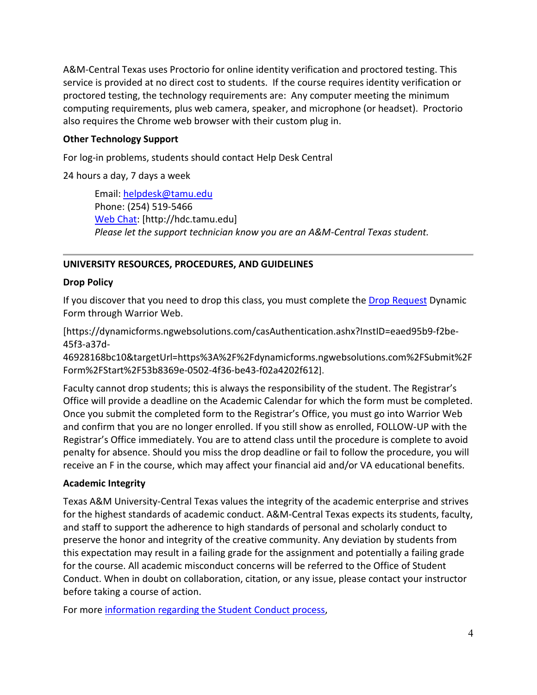A&M-Central Texas uses Proctorio for online identity verification and proctored testing. This service is provided at no direct cost to students. If the course requires identity verification or proctored testing, the technology requirements are: Any computer meeting the minimum computing requirements, plus web camera, speaker, and microphone (or headset). Proctorio also requires the Chrome web browser with their custom plug in.

## **Other Technology Support**

For log-in problems, students should contact Help Desk Central

24 hours a day, 7 days a week

Email: [helpdesk@tamu.edu](mailto:helpdesk@tamu.edu) Phone: (254) 519-5466 [Web Chat:](http://hdc.tamu.edu/) [http://hdc.tamu.edu] *Please let the support technician know you are an A&M-Central Texas student.*

# **UNIVERSITY RESOURCES, PROCEDURES, AND GUIDELINES**

## **Drop Policy**

If you discover that you need to drop this class, you must complete the [Drop Request](https://dynamicforms.ngwebsolutions.com/casAuthentication.ashx?InstID=eaed95b9-f2be-45f3-a37d-46928168bc10&targetUrl=https%3A%2F%2Fdynamicforms.ngwebsolutions.com%2FSubmit%2FForm%2FStart%2F53b8369e-0502-4f36-be43-f02a4202f612) Dynamic Form through Warrior Web.

[https://dynamicforms.ngwebsolutions.com/casAuthentication.ashx?InstID=eaed95b9-f2be-45f3-a37d-

46928168bc10&targetUrl=https%3A%2F%2Fdynamicforms.ngwebsolutions.com%2FSubmit%2F Form%2FStart%2F53b8369e-0502-4f36-be43-f02a4202f612].

Faculty cannot drop students; this is always the responsibility of the student. The Registrar's Office will provide a deadline on the Academic Calendar for which the form must be completed. Once you submit the completed form to the Registrar's Office, you must go into Warrior Web and confirm that you are no longer enrolled. If you still show as enrolled, FOLLOW-UP with the Registrar's Office immediately. You are to attend class until the procedure is complete to avoid penalty for absence. Should you miss the drop deadline or fail to follow the procedure, you will receive an F in the course, which may affect your financial aid and/or VA educational benefits.

## **Academic Integrity**

Texas A&M University-Central Texas values the integrity of the academic enterprise and strives for the highest standards of academic conduct. A&M-Central Texas expects its students, faculty, and staff to support the adherence to high standards of personal and scholarly conduct to preserve the honor and integrity of the creative community. Any deviation by students from this expectation may result in a failing grade for the assignment and potentially a failing grade for the course. All academic misconduct concerns will be referred to the Office of Student Conduct. When in doubt on collaboration, citation, or any issue, please contact your instructor before taking a course of action.

For more [information](https://nam04.safelinks.protection.outlook.com/?url=https%3A%2F%2Fwww.tamuct.edu%2Fstudent-affairs%2Fstudent-conduct.html&data=04%7C01%7Clisa.bunkowski%40tamuct.edu%7Ccfb6e486f24745f53e1a08d910055cb2%7C9eed4e3000f744849ff193ad8005acec%7C0%7C0%7C637558437485252160%7CUnknown%7CTWFpbGZsb3d8eyJWIjoiMC4wLjAwMDAiLCJQIjoiV2luMzIiLCJBTiI6Ik1haWwiLCJXVCI6Mn0%3D%7C1000&sdata=yjftDEVHvLX%2FhM%2FcFU0B99krV1RgEWR%2BJ%2BhvtoR6TYk%3D&reserved=0) regarding the Student Conduct process,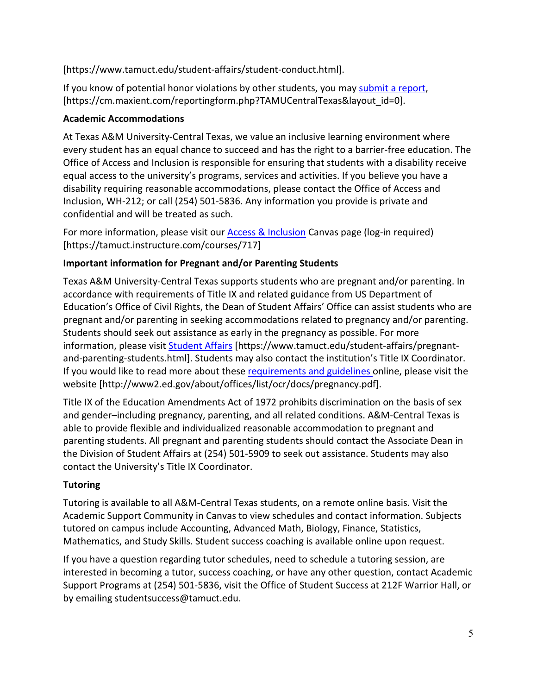[https://www.tamuct.edu/student-affairs/student-conduct.html].

If you know of potential honor violations by other students, you may [submit](https://nam04.safelinks.protection.outlook.com/?url=https%3A%2F%2Fcm.maxient.com%2Freportingform.php%3FTAMUCentralTexas%26layout_id%3D0&data=04%7C01%7Clisa.bunkowski%40tamuct.edu%7Ccfb6e486f24745f53e1a08d910055cb2%7C9eed4e3000f744849ff193ad8005acec%7C0%7C0%7C637558437485262157%7CUnknown%7CTWFpbGZsb3d8eyJWIjoiMC4wLjAwMDAiLCJQIjoiV2luMzIiLCJBTiI6Ik1haWwiLCJXVCI6Mn0%3D%7C1000&sdata=CXGkOa6uPDPX1IMZ87z3aZDq2n91xfHKu4MMS43Ejjk%3D&reserved=0) a report, [https://cm.maxient.com/reportingform.php?TAMUCentralTexas&layout\_id=0].

## **Academic Accommodations**

At Texas A&M University-Central Texas, we value an inclusive learning environment where every student has an equal chance to succeed and has the right to a barrier-free education. The Office of Access and Inclusion is responsible for ensuring that students with a disability receive equal access to the university's programs, services and activities. If you believe you have a disability requiring reasonable accommodations, please contact the Office of Access and Inclusion, WH-212; or call (254) 501-5836. Any information you provide is private and confidential and will be treated as such.

For more information, please visit our **Access & Inclusion** Canvas page (log-in required) [https://tamuct.instructure.com/courses/717]

# **Important information for Pregnant and/or Parenting Students**

Texas A&M University-Central Texas supports students who are pregnant and/or parenting. In accordance with requirements of Title IX and related guidance from US Department of Education's Office of Civil Rights, the Dean of Student Affairs' Office can assist students who are pregnant and/or parenting in seeking accommodations related to pregnancy and/or parenting. Students should seek out assistance as early in the pregnancy as possible. For more information, please visit [Student Affairs](https://www.tamuct.edu/student-affairs/pregnant-and-parenting-students.html) [https://www.tamuct.edu/student-affairs/pregnantand-parenting-students.html]. Students may also contact the institution's Title IX Coordinator. If you would like to read more about thes[e requirements and guidelines](http://www2.ed.gov/about/offices/list/ocr/docs/pregnancy.pdf) online, please visit the website [http://www2.ed.gov/about/offices/list/ocr/docs/pregnancy.pdf].

Title IX of the Education Amendments Act of 1972 prohibits discrimination on the basis of sex and gender–including pregnancy, parenting, and all related conditions. A&M-Central Texas is able to provide flexible and individualized reasonable accommodation to pregnant and parenting students. All pregnant and parenting students should contact the Associate Dean in the Division of Student Affairs at (254) 501-5909 to seek out assistance. Students may also contact the University's Title IX Coordinator.

# **Tutoring**

Tutoring is available to all A&M-Central Texas students, on a remote online basis. Visit the Academic Support Community in Canvas to view schedules and contact information. Subjects tutored on campus include Accounting, Advanced Math, Biology, Finance, Statistics, Mathematics, and Study Skills. Student success coaching is available online upon request.

If you have a question regarding tutor schedules, need to schedule a tutoring session, are interested in becoming a tutor, success coaching, or have any other question, contact Academic Support Programs at (254) 501-5836, visit the Office of Student Success at 212F Warrior Hall, or by emailing studentsuccess@tamuct.edu.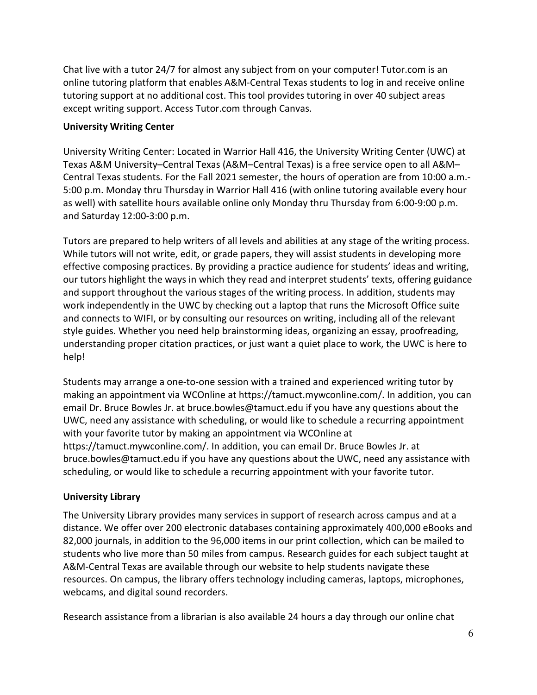Chat live with a tutor 24/7 for almost any subject from on your computer! Tutor.com is an online tutoring platform that enables A&M-Central Texas students to log in and receive online tutoring support at no additional cost. This tool provides tutoring in over 40 subject areas except writing support. Access Tutor.com through Canvas.

### **University Writing Center**

University Writing Center: Located in Warrior Hall 416, the University Writing Center (UWC) at Texas A&M University–Central Texas (A&M–Central Texas) is a free service open to all A&M– Central Texas students. For the Fall 2021 semester, the hours of operation are from 10:00 a.m.- 5:00 p.m. Monday thru Thursday in Warrior Hall 416 (with online tutoring available every hour as well) with satellite hours available online only Monday thru Thursday from 6:00-9:00 p.m. and Saturday 12:00-3:00 p.m.

Tutors are prepared to help writers of all levels and abilities at any stage of the writing process. While tutors will not write, edit, or grade papers, they will assist students in developing more effective composing practices. By providing a practice audience for students' ideas and writing, our tutors highlight the ways in which they read and interpret students' texts, offering guidance and support throughout the various stages of the writing process. In addition, students may work independently in the UWC by checking out a laptop that runs the Microsoft Office suite and connects to WIFI, or by consulting our resources on writing, including all of the relevant style guides. Whether you need help brainstorming ideas, organizing an essay, proofreading, understanding proper citation practices, or just want a quiet place to work, the UWC is here to help!

Students may arrange a one-to-one session with a trained and experienced writing tutor by making an appointment via WCOnline at https://tamuct.mywconline.com/. In addition, you can email Dr. Bruce Bowles Jr. at bruce.bowles@tamuct.edu if you have any questions about the UWC, need any assistance with scheduling, or would like to schedule a recurring appointment with your favorite tutor by making an appointment via WCOnline at https://tamuct.mywconline.com/. In addition, you can email Dr. Bruce Bowles Jr. at bruce.bowles@tamuct.edu if you have any questions about the UWC, need any assistance with scheduling, or would like to schedule a recurring appointment with your favorite tutor.

## **University Library**

The University Library provides many services in support of research across campus and at a distance. We offer over 200 electronic databases containing approximately 400,000 eBooks and 82,000 journals, in addition to the 96,000 items in our print collection, which can be mailed to students who live more than 50 miles from campus. Research guides for each subject taught at A&M-Central Texas are available through our website to help students navigate these resources. On campus, the library offers technology including cameras, laptops, microphones, webcams, and digital sound recorders.

Research assistance from a librarian is also available 24 hours a day through our online chat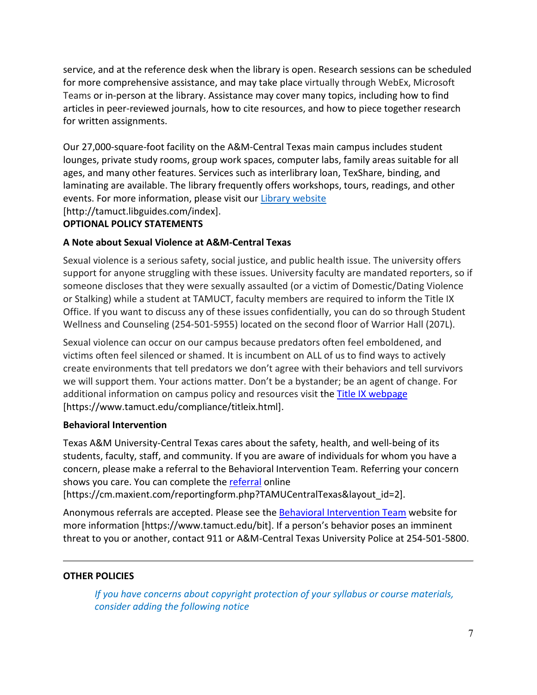service, and at the reference desk when the library is open. Research sessions can be scheduled for more comprehensive assistance, and may take place virtually through WebEx, Microsoft Teams or in-person at the library. Assistance may cover many topics, including how to find articles in peer-reviewed journals, how to cite resources, and how to piece together research for written assignments.

Our 27,000-square-foot facility on the A&M-Central Texas main campus includes student lounges, private study rooms, group work spaces, computer labs, family areas suitable for all ages, and many other features. Services such as interlibrary loan, TexShare, binding, and laminating are available. The library frequently offers workshops, tours, readings, and other events. For more information, please visit our Library [website](https://nam04.safelinks.protection.outlook.com/?url=https%3A%2F%2Ftamuct.libguides.com%2Findex&data=04%7C01%7Clisa.bunkowski%40tamuct.edu%7C7d8489e8839a4915335f08d916f067f2%7C9eed4e3000f744849ff193ad8005acec%7C0%7C0%7C637566044056484222%7CUnknown%7CTWFpbGZsb3d8eyJWIjoiMC4wLjAwMDAiLCJQIjoiV2luMzIiLCJBTiI6Ik1haWwiLCJXVCI6Mn0%3D%7C1000&sdata=2R755V6rcIyedGrd4Os5rkgn1PvhHKU3kUV1vBKiHFo%3D&reserved=0) [http://tamuct.libguides.com/index].

## **OPTIONAL POLICY STATEMENTS**

## **A Note about Sexual Violence at A&M-Central Texas**

Sexual violence is a serious safety, social justice, and public health issue. The university offers support for anyone struggling with these issues. University faculty are mandated reporters, so if someone discloses that they were sexually assaulted (or a victim of Domestic/Dating Violence or Stalking) while a student at TAMUCT, faculty members are required to inform the Title IX Office. If you want to discuss any of these issues confidentially, you can do so through Student Wellness and Counseling (254-501-5955) located on the second floor of Warrior Hall (207L).

Sexual violence can occur on our campus because predators often feel emboldened, and victims often feel silenced or shamed. It is incumbent on ALL of us to find ways to actively create environments that tell predators we don't agree with their behaviors and tell survivors we will support them. Your actions matter. Don't be a bystander; be an agent of change. For additional information on campus policy and resources visit the **Title IX webpage** [\[https://www.tamuct.edu/compliance/titleix.html\]](https://www.tamuct.edu/compliance/titleix.html).

### **Behavioral Intervention**

Texas A&M University-Central Texas cares about the safety, health, and well-being of its students, faculty, staff, and community. If you are aware of individuals for whom you have a concern, please make a referral to the Behavioral Intervention Team. Referring your concern shows you care. You can complete the [referral](https://cm.maxient.com/reportingform.php?TAMUCentralTexas&layout_id=2) online

[https://cm.maxient.com/reportingform.php?TAMUCentralTexas&layout\_id=2].

Anonymous referrals are accepted. Please see the [Behavioral Intervention Team](https://www.tamuct.edu/bit) website for more information [https://www.tamuct.edu/bit]. If a person's behavior poses an imminent threat to you or another, contact 911 or A&M-Central Texas University Police at 254-501-5800.

## **OTHER POLICIES**

*If you have concerns about copyright protection of your syllabus or course materials, consider adding the following notice*